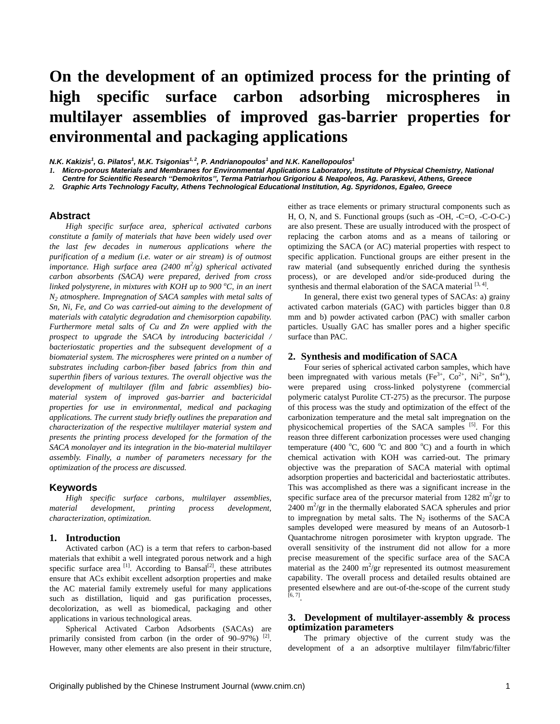# **On the development of an optimized process for the printing of high specific surface carbon adsorbing microspheres in multilayer assemblies of improved gas-barrier properties for environmental and packaging applications**

*N.K. Kakizis<sup>1</sup>, G. Pilatos<sup>1</sup>, M.K. Tsigonias<sup>1, 2</sup>, P. Andrianopoulos<sup>1</sup> and N.K. Kanellopoulos<sup>1</sup>* 

*1. Micro-porous Materials and Membranes for Environmental Applications Laboratory, Institute of Physical Chemistry, National* 

*Centre for Scientific Research ''Demokritos'', Terma Patriarhou Grigoriou & Neapoleos, Ag. Paraskevi, Athens, Greece* 

*2. Graphic Arts Technology Faculty, Athens Technological Educational Institution, Ag. Spyridonos, Egaleo, Greece* 

#### **Abstract**

*High specific surface area, spherical activated carbons constitute a family of materials that have been widely used over the last few decades in numerous applications where the purification of a medium (i.e. water or air stream) is of outmost importance. High surface area* (2400  $m^2$ /g) spherical activated *carbon absorbents (SACA) were prepared, derived from cross linked polystyrene, in mixtures with KOH up to 900 <sup>o</sup> C, in an inert N2 atmosphere. Impregnation of SACA samples with metal salts of Sn, Ni, Fe, and Co was carried-out aiming to the development of materials with catalytic degradation and chemisorption capability. Furthermore metal salts of Cu and Zn were applied with the prospect to upgrade the SACA by introducing bactericidal / bacteriostatic properties and the subsequent development of a biomaterial system. The microspheres were printed on a number of substrates including carbon-fiber based fabrics from thin and superthin fibers of various textures. The overall objective was the development of multilayer (film and fabric assemblies) biomaterial system of improved gas-barrier and bactericidal properties for use in environmental, medical and packaging applications. The current study briefly outlines the preparation and characterization of the respective multilayer material system and presents the printing process developed for the formation of the SACA monolayer and its integration in the bio-material multilayer assembly. Finally, a number of parameters necessary for the optimization of the process are discussed.* 

### **Keywords**

*High specific surface carbons, multilayer assemblies, material development, printing process development, characterization, optimization.* 

## **1. Introduction**

Activated carbon (AC) is a term that refers to carbon-based materials that exhibit a well integrated porous network and a high specific surface area  $[1]$ . According to Bansal<sup>[2]</sup>, these attributes ensure that ACs exhibit excellent adsorption properties and make the AC material family extremely useful for many applications such as distillation, liquid and gas purification processes, decolorization, as well as biomedical, packaging and other applications in various technological areas.

Spherical Activated Carbon Adsorbents (SACAs) are primarily consisted from carbon (in the order of  $90-97\%$ )<sup>[2]</sup>. However, many other elements are also present in their structure, either as trace elements or primary structural components such as H, O, N, and S. Functional groups (such as -OH, -C=O, -C-O-C-) are also present. These are usually introduced with the prospect of replacing the carbon atoms and as a means of tailoring or optimizing the SACA (or AC) material properties with respect to specific application. Functional groups are either present in the raw material (and subsequently enriched during the synthesis process), or are developed and/or side-produced during the synthesis and thermal elaboration of the SACA material  $[3, 4]$ .

In general, there exist two general types of SACAs: a) grainy activated carbon materials (GAC) with particles bigger than 0.8 mm and b) powder activated carbon (PAC) with smaller carbon particles. Usually GAC has smaller pores and a higher specific surface than PAC.

### **2. Synthesis and modification of SACA**

Four series of spherical activated carbon samples, which have been impregnated with various metals (Fe<sup>3+</sup>, Co<sup>2+</sup>, Ni<sup>2+</sup>, Sn<sup>4+</sup>), were prepared using cross-linked polystyrene (commercial polymeric catalyst Purolite CT-275) as the precursor. The purpose of this process was the study and optimization of the effect of the carbonization temperature and the metal salt impregnation on the physicochemical properties of the SACA samples [5]. For this reason three different carbonization processes were used changing temperature (400 $\,^{\circ}$ C, 600 $\,^{\circ}$ C and 800 $\,^{\circ}$ C) and a fourth in which chemical activation with KOH was carried-out. The primary objective was the preparation of SACA material with optimal adsorption properties and bactericidal and bacteriostatic attributes. This was accomplished as there was a significant increase in the specific surface area of the precursor material from  $1282 \text{ m}^2/\text{gr}$  to  $2400 \text{ m}^2/\text{gr}$  in the thermally elaborated SACA spherules and prior to impregnation by metal salts. The  $N_2$  isotherms of the SACA samples developed were measured by means of an Autosorb-1 Quantachrome nitrogen porosimeter with krypton upgrade. The overall sensitivity of the instrument did not allow for a more precise measurement of the specific surface area of the SACA material as the  $2400 \text{ m}^2/\text{gr}$  represented its outmost measurement capability. The overall process and detailed results obtained are presented elsewhere and are out-of-the-scope of the current study  $[6, 7]$ 

## **3. Development of multilayer-assembly & process optimization parameters**

The primary objective of the current study was the development of a an adsorptive multilayer film/fabric/filter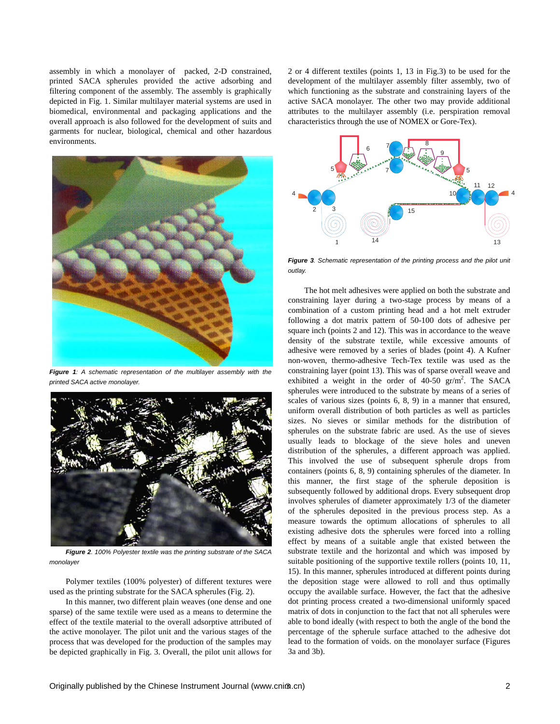assembly in which a monolayer of packed, 2-D constrained, printed SACA spherules provided the active adsorbing and filtering component of the assembly. The assembly is graphically depicted in Fig. 1. Similar multilayer material systems are used in biomedical, environmental and packaging applications and the overall approach is also followed for the development of suits and garments for nuclear, biological, chemical and other hazardous environments.



*Figure 1: A schematic representation of the multilayer assembly with the printed SACA active monolayer.* 



*Figure 2. 100% Polyester textile was the printing substrate of the SACA monolayer* 

Polymer textiles (100% polyester) of different textures were used as the printing substrate for the SACA spherules (Fig. 2).

In this manner, two different plain weaves (one dense and one sparse) of the same textile were used as a means to determine the effect of the textile material to the overall adsorptive attributed of the active monolayer. The pilot unit and the various stages of the process that was developed for the production of the samples may be depicted graphically in Fig. 3. Overall, the pilot unit allows for 2 or 4 different textiles (points 1, 13 in Fig.3) to be used for the development of the multilayer assembly filter assembly, two of which functioning as the substrate and constraining layers of the active SACA monolayer. The other two may provide additional attributes to the multilayer assembly (i.e. perspiration removal characteristics through the use of NOMEX or Gore-Tex).



*Figure 3. Schematic representation of the printing process and the pilot unit outlay.* 

The hot melt adhesives were applied on both the substrate and constraining layer during a two-stage process by means of a combination of a custom printing head and a hot melt extruder following a dot matrix pattern of 50-100 dots of adhesive per square inch (points 2 and 12). This was in accordance to the weave density of the substrate textile, while excessive amounts of adhesive were removed by a series of blades (point 4). A Kufner non-woven, thermo-adhesive Tech-Tex textile was used as the constraining layer (point 13). This was of sparse overall weave and exhibited a weight in the order of  $40-50$  gr/m<sup>2</sup>. The SACA spherules were introduced to the substrate by means of a series of scales of various sizes (points 6, 8, 9) in a manner that ensured, uniform overall distribution of both particles as well as particles sizes. No sieves or similar methods for the distribution of spherules on the substrate fabric are used. As the use of sieves usually leads to blockage of the sieve holes and uneven distribution of the spherules, a different approach was applied. This involved the use of subsequent spherule drops from containers (points 6, 8, 9) containing spherules of the diameter. In this manner, the first stage of the spherule deposition is subsequently followed by additional drops. Every subsequent drop involves spherules of diameter approximately 1/3 of the diameter of the spherules deposited in the previous process step. As a measure towards the optimum allocations of spherules to all existing adhesive dots the spherules were forced into a rolling effect by means of a suitable angle that existed between the substrate textile and the horizontal and which was imposed by suitable positioning of the supportive textile rollers (points 10, 11, 15). In this manner, spherules introduced at different points during the deposition stage were allowed to roll and thus optimally occupy the available surface. However, the fact that the adhesive dot printing process created a two-dimensional uniformly spaced matrix of dots in conjunction to the fact that not all spherules were able to bond ideally (with respect to both the angle of the bond the percentage of the spherule surface attached to the adhesive dot lead to the formation of voids. on the monolayer surface (Figures 3a and 3b).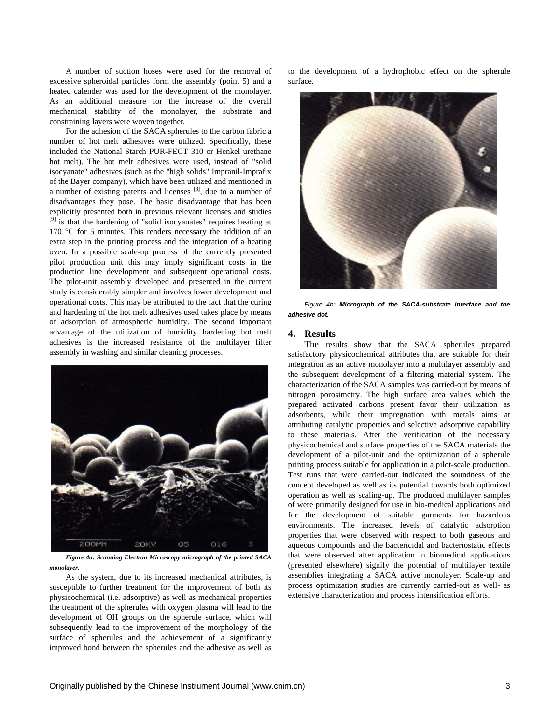A number of suction hoses were used for the removal of excessive spheroidal particles form the assembly (point 5) and a heated calender was used for the development of the monolayer. As an additional measure for the increase of the overall mechanical stability of the monolayer, the substrate and constraining layers were woven together.

For the adhesion of the SACA spherules to the carbon fabric a number of hot melt adhesives were utilized. Specifically, these included the National Starch PUR-FECT 310 or Henkel urethane hot melt). The hot melt adhesives were used, instead of "solid isocyanate" adhesives (such as the "high solids" Impranil-Imprafix of the Bayer company), which have been utilized and mentioned in a number of existing patents and licenses [8], due to a number of disadvantages they pose. The basic disadvantage that has been explicitly presented both in previous relevant licenses and studies <sup>[9]</sup> is that the hardening of "solid isocyanates" requires heating at 170 °C for 5 minutes. This renders necessary the addition of an extra step in the printing process and the integration of a heating oven. In a possible scale-up process of the currently presented pilot production unit this may imply significant costs in the production line development and subsequent operational costs. The pilot-unit assembly developed and presented in the current study is considerably simpler and involves lower development and operational costs. This may be attributed to the fact that the curing and hardening of the hot melt adhesives used takes place by means of adsorption of atmospheric humidity. The second important advantage of the utilization of humidity hardening hot melt adhesives is the increased resistance of the multilayer filter assembly in washing and similar cleaning processes.



*Figure 4a: Scanning Electron Microscopy micrograph of the printed SACA monolayer.*

As the system, due to its increased mechanical attributes, is susceptible to further treatment for the improvement of both its physicochemical (i.e. adsorptive) as well as mechanical properties the treatment of the spherules with oxygen plasma will lead to the development of OH groups on the spherule surface, which will subsequently lead to the improvement of the morphology of the surface of spherules and the achievement of a significantly improved bond between the spherules and the adhesive as well as

to the development of a hydrophobic effect on the spherule surface.



*Figure 4b: Micrograph of the SACA-substrate interface and the adhesive dot.*

#### **4. Results**

The results show that the SACA spherules prepared satisfactory physicochemical attributes that are suitable for their integration as an active monolayer into a multilayer assembly and the subsequent development of a filtering material system. The characterization of the SACA samples was carried-out by means of nitrogen porosimetry. The high surface area values which the prepared activated carbons present favor their utilization as adsorbents, while their impregnation with metals aims at attributing catalytic properties and selective adsorptive capability to these materials. After the verification of the necessary physicochemical and surface properties of the SACA materials the development of a pilot-unit and the optimization of a spherule printing process suitable for application in a pilot-scale production. Test runs that were carried-out indicated the soundness of the concept developed as well as its potential towards both optimized operation as well as scaling-up. The produced multilayer samples of were primarily designed for use in bio-medical applications and for the development of suitable garments for hazardous environments. The increased levels of catalytic adsorption properties that were observed with respect to both gaseous and aqueous compounds and the bactericidal and bacteriostatic effects that were observed after application in biomedical applications (presented elsewhere) signify the potential of multilayer textile assemblies integrating a SACA active monolayer. Scale-up and process optimization studies are currently carried-out as well- as extensive characterization and process intensification efforts.